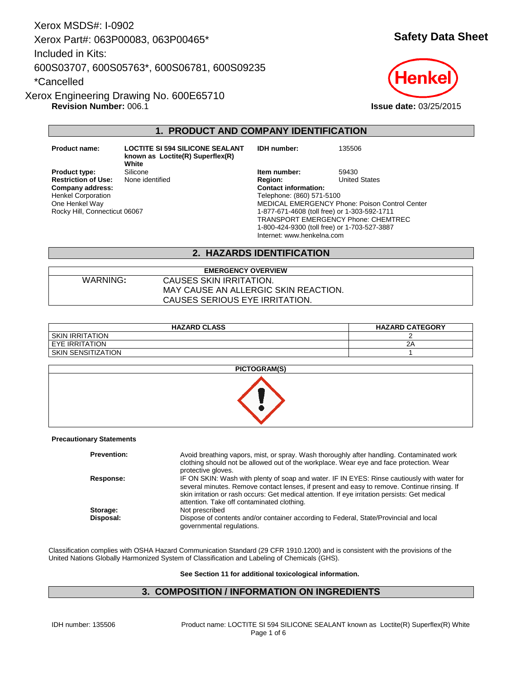Xerox MSDS#: I-0902 Xerox Part#: 063P00083, 063P00465\* Included in Kits: 600S03707, 600S05763\*, 600S06781, 600S09235 \*Cancelled

**Revision Number:** 006.1 **Issue date:** 03/25/2015 Xerox Engineering Drawing No. 600E65710

# **1. PRODUCT AND COMPANY IDENTIFICATION**

**Restriction of Use:**<br>Company address: Henkel Corporation One Henkel Way Rocky Hill, Connecticut 06067

**Product name: LOCTITE SI 594 SILICONE SEALANT known as Loctite(R) Superflex(R) White Product type:** Silicone **Item number:** 59430<br> **Restriction of Use:** None identified **Integral Product Product Product** Product Article States

**Company address: Contact information:** Telephone: (860) 571-5100 MEDICAL EMERGENCY Phone: Poison Control Center 1-877-671-4608 (toll free) or 1-303-592-1711 TRANSPORT EMERGENCY Phone: CHEMTREC 1-800-424-9300 (toll free) or 1-703-527-3887 Internet: www.henkelna.com

**IDH number:** 135506

## **2. HAZARDS IDENTIFICATION**

**EMERGENCY OVERVIEW** WARNING**:** CAUSES SKIN IRRITATION. MAY CAUSE AN ALLERGIC SKIN REACTION. CAUSES SERIOUS EYE IRRITATION.

| <b>HAZARD CLASS</b> | <b>HAZARD CATEGORY</b> |
|---------------------|------------------------|
| I SKIN IRRITATION   |                        |
| I EYE IRRITATION    | ົາມ                    |
| SKIN SENSITIZATION  |                        |

| <b>PICTOGRAM(S)</b> |  |
|---------------------|--|
|                     |  |

#### **Precautionary Statements**

| <b>Prevention:</b> | Avoid breathing vapors, mist, or spray. Wash thoroughly after handling. Contaminated work<br>clothing should not be allowed out of the workplace. Wear eye and face protection. Wear<br>protective gloves.                                                                                                                                 |
|--------------------|--------------------------------------------------------------------------------------------------------------------------------------------------------------------------------------------------------------------------------------------------------------------------------------------------------------------------------------------|
| Response:          | IF ON SKIN: Wash with plenty of soap and water. IF IN EYES: Rinse cautiously with water for<br>several minutes. Remove contact lenses, if present and easy to remove. Continue rinsing. If<br>skin irritation or rash occurs: Get medical attention. If eye irritation persists: Get medical<br>attention. Take off contaminated clothing. |
| Storage:           | Not prescribed                                                                                                                                                                                                                                                                                                                             |
| Disposal:          | Dispose of contents and/or container according to Federal, State/Provincial and local<br>governmental regulations.                                                                                                                                                                                                                         |

Classification complies with OSHA Hazard Communication Standard (29 CFR 1910.1200) and is consistent with the provisions of the United Nations Globally Harmonized System of Classification and Labeling of Chemicals (GHS).

**See Section 11 for additional toxicological information.**

## **3. COMPOSITION / INFORMATION ON INGREDIENTS**

**Safety Data Sheet**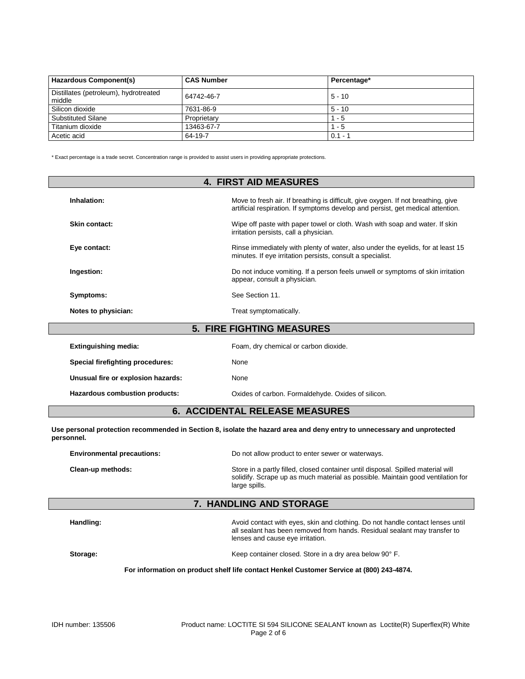| <b>Hazardous Component(s)</b>                   | <b>CAS Number</b> | Percentage* |
|-------------------------------------------------|-------------------|-------------|
| Distillates (petroleum), hydrotreated<br>middle | 64742-46-7        | $5 - 10$    |
| Silicon dioxide                                 | 7631-86-9         | $5 - 10$    |
| <b>Substituted Silane</b>                       | Proprietary       | - 5         |
| Titanium dioxide                                | 13463-67-7        | - 5         |
| Acetic acid                                     | 64-19-7           | $0.1 - 1$   |

\* Exact percentage is a trade secret. Concentration range is provided to assist users in providing appropriate protections.

| <b>4. FIRST AID MEASURES</b>     |                                                                                                                                                                      |  |
|----------------------------------|----------------------------------------------------------------------------------------------------------------------------------------------------------------------|--|
| Inhalation:                      | Move to fresh air. If breathing is difficult, give oxygen. If not breathing, give<br>artificial respiration. If symptoms develop and persist, get medical attention. |  |
| Skin contact:                    | Wipe off paste with paper towel or cloth. Wash with soap and water. If skin<br>irritation persists, call a physician.                                                |  |
| Eye contact:                     | Rinse immediately with plenty of water, also under the eyelids, for at least 15<br>minutes. If eye irritation persists, consult a specialist.                        |  |
| Ingestion:                       | Do not induce vomiting. If a person feels unwell or symptoms of skin irritation<br>appear, consult a physician.                                                      |  |
| Symptoms:                        | See Section 11.                                                                                                                                                      |  |
| Notes to physician:              | Treat symptomatically.                                                                                                                                               |  |
| <b>5. FIRE FIGHTING MEASURES</b> |                                                                                                                                                                      |  |

| Extinguishing media:               | Foam, dry chemical or carbon dioxide.              |
|------------------------------------|----------------------------------------------------|
| Special firefighting procedures:   | None                                               |
| Unusual fire or explosion hazards: | None                                               |
| Hazardous combustion products:     | Oxides of carbon. Formaldehyde. Oxides of silicon. |
|                                    |                                                    |

# **6. ACCIDENTAL RELEASE MEASURES**

**Use personal protection recommended in Section 8, isolate the hazard area and deny entry to unnecessary and unprotected personnel.**

| <b>Environmental precautions:</b> | Do not allow product to enter sewer or waterways.                                                                                                                                    |  |
|-----------------------------------|--------------------------------------------------------------------------------------------------------------------------------------------------------------------------------------|--|
| Clean-up methods:                 | Store in a partly filled, closed container until disposal. Spilled material will<br>solidify. Scrape up as much material as possible. Maintain good ventilation for<br>large spills. |  |

# **7. HANDLING AND STORAGE**

**Handling:** Avoid contact with eyes, skin and clothing. Do not handle contact lenses until all sealant has been removed from hands. Residual sealant may transfer to lenses and cause eye irritation. **Storage:** Keep container closed. Store in a dry area below 90° F.

## **For information on product shelf life contact Henkel Customer Service at (800) 243-4874.**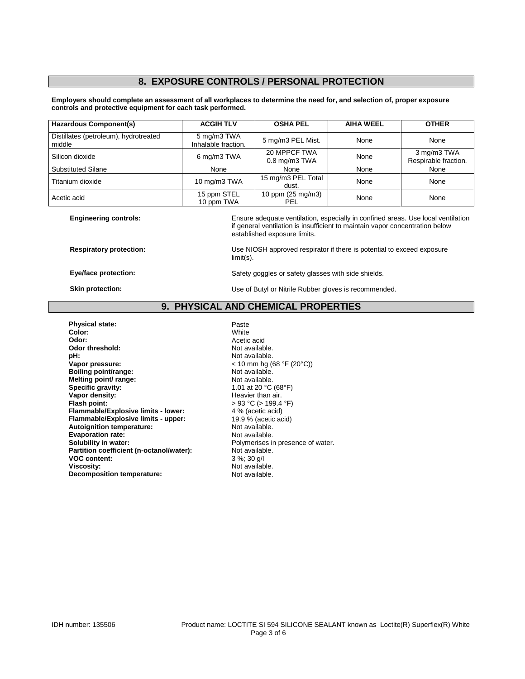# **8. EXPOSURE CONTROLS / PERSONAL PROTECTION**

#### **Employers should complete an assessment of all workplaces to determine the need for, and selection of, proper exposure controls and protective equipment for each task performed.**

| <b>Hazardous Component(s)</b>                   | <b>ACGIH TLV</b>                   | <b>OSHA PEL</b>                    | <b>AIHA WEEL</b> | <b>OTHER</b>                        |
|-------------------------------------------------|------------------------------------|------------------------------------|------------------|-------------------------------------|
| Distillates (petroleum), hydrotreated<br>middle | 5 mg/m3 TWA<br>Inhalable fraction. | 5 mg/m3 PEL Mist.                  | None             | None                                |
| Silicon dioxide                                 | 6 mg/m3 TWA                        | 20 MPPCF TWA<br>$0.8$ mg/m $3$ TWA | None             | 3 mg/m3 TWA<br>Respirable fraction. |
| <b>Substituted Silane</b>                       | None                               | None                               | None             | None                                |
| Titanium dioxide                                | 10 mg/m3 TWA                       | 15 mg/m3 PEL Total<br>dust.        | None             | None                                |
| Acetic acid                                     | 15 ppm STEL<br>10 ppm TWA          | 10 ppm (25 mg/m3)<br>PEL           | None             | None                                |

limit(s).

**Engineering controls:** Ensure adequate ventilation, especially in confined areas. Use local ventilation if general ventilation is insufficient to maintain vapor concentration below established exposure limits.

**Respiratory protection:** Use NIOSH approved respirator if there is potential to exceed exposure

**Eye/face protection:** Safety goggles or safety glasses with side shields.

**Skin protection:** Use of Butyl or Nitrile Rubber gloves is recommended.

**9. PHYSICAL AND CHEMICAL PROPERTIES**

**Physical state:** Paste Paste<br> **Paste Color:** Paste Paste Paste Paste Paste Paste Paste Paste Paste Paste Paste Paste Paste Paste Paste Paste Paste Paste Paste Paste Paste Paste Paste Paste Paste Paste Paste Paste Paste Pa **Color:** White **Odor:** Acetic acid<br> **Odor threshold:** Container and Acetic acid<br>
Not available. **Odor threshold:**<br>pH: **pH:** Not available.<br> **Vapor pressure:**  $\sqrt{a}$  and  $\sqrt{b}$  and  $\sqrt{b}$  and  $\sqrt{b}$  and  $\sqrt{b}$  and  $\sqrt{b}$  and  $\sqrt{b}$  and  $\sqrt{b}$  and  $\sqrt{b}$  and  $\sqrt{b}$  and  $\sqrt{b}$  and  $\sqrt{b}$  and  $\sqrt{b}$  and  $\sqrt{b}$  and  $\sqrt{b}$  and  $\$ **Boiling point/range:** Not available.<br> **Melting point/ range:** Not available. **Melting point/ range:**<br>Specific gravity: **Specific gravity:**  $\begin{array}{ccc} 1.01 \text{ at } 20 \text{ °C (68°F)} \\ \text{Vapor density:} \end{array}$ **Vapor density:**<br>
Flash point:<br>
Flash point:<br>  $\begin{aligned} \text{Plash point:} \\ &> 93 \text{ °C} &(> 199.4 \text{ °C}) \end{aligned}$ **Flammable/Explosive limits - lower:** 4 % (acetic acid) **Flammable/Explosive limits - upper:** 19.9 % (acetic Autoignition temperature: 19.9 % (acetic acid) **Autoignition temperature:** Not available.<br> **Evaporation rate:** Not available. **Evaporation rate:**<br>Solubility in water: Partition coefficient (n-octanol/water):<br>VOC content: **VOC content:**  $3\%$ ; 30 g/l<br>**Viscosity:** Not available and the set of the SN of available and the SN of the SN of the SN of the SN of the SN of the SN of the SN of the SN of the SN of the SN of the SN of the SN of the SN **Decomposition temperature:** 

**Vapor pressure:** < 10 mm hg (68 °F (20°C)) **Figal** P of  $(> 199.4 \degree F)$ <br>**4** % (acetic acid) Polymerises in presence of water.<br>Not available. Not available.<br>Not available.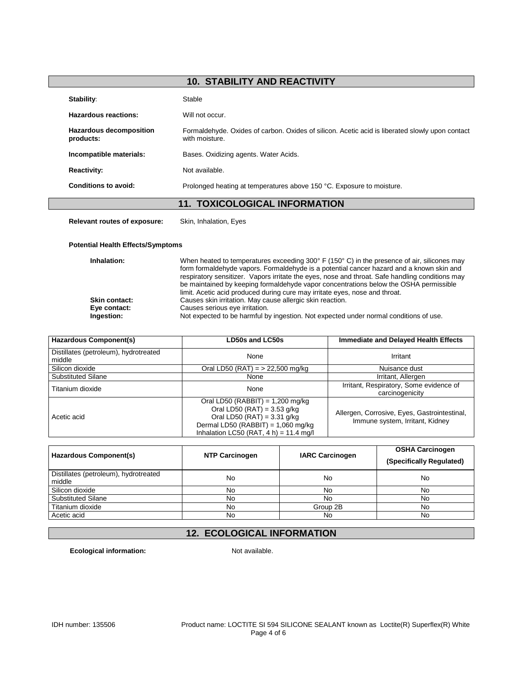# **10. STABILITY AND REACTIVITY**

| Stability:                                  | Stable                                                                                                            |
|---------------------------------------------|-------------------------------------------------------------------------------------------------------------------|
| Hazardous reactions:                        | Will not occur.                                                                                                   |
| <b>Hazardous decomposition</b><br>products: | Formaldehyde. Oxides of carbon. Oxides of silicon. Acetic acid is liberated slowly upon contact<br>with moisture. |
| Incompatible materials:                     | Bases. Oxidizing agents. Water Acids.                                                                             |
| <b>Reactivity:</b>                          | Not available.                                                                                                    |
| Conditions to avoid:                        | Prolonged heating at temperatures above 150 °C. Exposure to moisture.                                             |
|                                             | <b>11. TOXICOLOGICAL INFORMATION</b>                                                                              |

**Relevant routes of exposure:** Skin, Inhalation, Eyes

## **Potential Health Effects/Symptoms**

| Inhalation:          | When heated to temperatures exceeding 300 $\degree$ F (150 $\degree$ C) in the presence of air, silicones may<br>form formaldehyde vapors. Formaldehyde is a potential cancer hazard and a known skin and<br>respiratory sensitizer. Vapors irritate the eyes, nose and throat. Safe handling conditions may<br>be maintained by keeping formaldehyde vapor concentrations below the OSHA permissible<br>limit. Acetic acid produced during cure may irritate eyes, nose and throat. |
|----------------------|--------------------------------------------------------------------------------------------------------------------------------------------------------------------------------------------------------------------------------------------------------------------------------------------------------------------------------------------------------------------------------------------------------------------------------------------------------------------------------------|
| <b>Skin contact:</b> | Causes skin irritation. May cause allergic skin reaction.                                                                                                                                                                                                                                                                                                                                                                                                                            |
| Eye contact:         | Causes serious eye irritation.                                                                                                                                                                                                                                                                                                                                                                                                                                                       |
| Ingestion:           | Not expected to be harmful by ingestion. Not expected under normal conditions of use.                                                                                                                                                                                                                                                                                                                                                                                                |

| <b>Hazardous Component(s)</b>                   | LD50s and LC50s                                                                                                                                                                           | <b>Immediate and Delayed Health Effects</b>                                     |
|-------------------------------------------------|-------------------------------------------------------------------------------------------------------------------------------------------------------------------------------------------|---------------------------------------------------------------------------------|
| Distillates (petroleum), hydrotreated<br>middle | None                                                                                                                                                                                      | Irritant                                                                        |
| Silicon dioxide                                 | Oral LD50 (RAT) = $> 22,500$ mg/kg                                                                                                                                                        | Nuisance dust                                                                   |
| Substituted Silane                              | None                                                                                                                                                                                      | Irritant, Allergen                                                              |
| Titanium dioxide                                | None                                                                                                                                                                                      | Irritant, Respiratory, Some evidence of<br>carcinogenicity                      |
| Acetic acid                                     | Oral LD50 (RABBIT) = $1,200$ mg/kg<br>Oral LD50 (RAT) = $3.53$ g/kg<br>Oral LD50 (RAT) = $3.31$ g/kg<br>Dermal LD50 (RABBIT) = $1,060$ mg/kg<br>Inhalation LC50 (RAT, $4 h$ ) = 11.4 mg/l | Allergen, Corrosive, Eyes, Gastrointestinal,<br>Immune system, Irritant, Kidney |

| Hazardous Component(s)                          | <b>NTP Carcinogen</b> | <b>IARC Carcinogen</b> | <b>OSHA Carcinogen</b><br>(Specifically Regulated) |
|-------------------------------------------------|-----------------------|------------------------|----------------------------------------------------|
| Distillates (petroleum), hydrotreated<br>middle | No                    | No                     | No                                                 |
| Silicon dioxide                                 | No                    | No                     | No                                                 |
| <b>Substituted Silane</b>                       | No                    | No                     | No                                                 |
| Titanium dioxide                                | No                    | Group 2B               | No                                                 |
| Acetic acid                                     | No                    | No                     | No.                                                |

# **12. ECOLOGICAL INFORMATION**

**Ecological information:** Not available.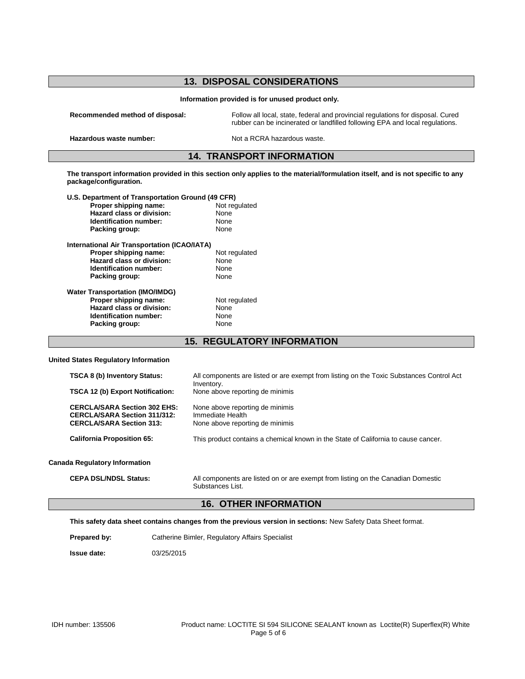| <b>13. DISPOSAL CONSIDERATIONS</b>                  |                                                                                                                                                                 |  |
|-----------------------------------------------------|-----------------------------------------------------------------------------------------------------------------------------------------------------------------|--|
| Information provided is for unused product only.    |                                                                                                                                                                 |  |
| Recommended method of disposal:                     | Follow all local, state, federal and provincial regulations for disposal. Cured<br>rubber can be incinerated or landfilled following EPA and local regulations. |  |
| Hazardous waste number:                             | Not a RCRA hazardous waste.                                                                                                                                     |  |
| <b>14. TRANSPORT INFORMATION</b>                    |                                                                                                                                                                 |  |
| package/configuration.                              | The transport information provided in this section only applies to the material/formulation itself, and is not specific to any                                  |  |
| U.S. Department of Transportation Ground (49 CFR)   |                                                                                                                                                                 |  |
| Proper shipping name:                               | Not regulated                                                                                                                                                   |  |
| Hazard class or division:                           | None                                                                                                                                                            |  |
| Identification number:                              | <b>None</b>                                                                                                                                                     |  |
| Packing group:                                      | None                                                                                                                                                            |  |
| <b>International Air Transportation (ICAO/IATA)</b> |                                                                                                                                                                 |  |
| Proper shipping name:                               | Not regulated                                                                                                                                                   |  |
| Hazard class or division:                           | None                                                                                                                                                            |  |
| Identification number:                              | None                                                                                                                                                            |  |
| Packing group:                                      | None                                                                                                                                                            |  |
| <b>Water Transportation (IMO/IMDG)</b>              |                                                                                                                                                                 |  |
| Proper shipping name:                               | Not regulated                                                                                                                                                   |  |
| Hazard class or division:                           | None                                                                                                                                                            |  |
| Identification number:                              | None                                                                                                                                                            |  |
| Packing group:                                      | None                                                                                                                                                            |  |
|                                                     |                                                                                                                                                                 |  |
|                                                     | <b>15. REGULATORY INFORMATION</b>                                                                                                                               |  |

### **United States Regulatory Information**

| <b>TSCA 8 (b) Inventory Status:</b>                                                                           | All components are listed or are exempt from listing on the Toxic Substances Control Act |
|---------------------------------------------------------------------------------------------------------------|------------------------------------------------------------------------------------------|
| <b>TSCA 12 (b) Export Notification:</b>                                                                       | Inventory.<br>None above reporting de minimis                                            |
| <b>CERCLA/SARA Section 302 EHS:</b><br><b>CERCLA/SARA Section 311/312:</b><br><b>CERCLA/SARA Section 313:</b> | None above reporting de minimis<br>Immediate Health<br>None above reporting de minimis   |
| <b>California Proposition 65:</b>                                                                             | This product contains a chemical known in the State of California to cause cancer.       |
| <b>Canada Regulatory Information</b>                                                                          |                                                                                          |
|                                                                                                               |                                                                                          |

## **CEPA DSL/NDSL Status:** All components are listed on or are exempt from listing on the Canadian Domestic Substances List.

# **16. OTHER INFORMATION**

**This safety data sheet contains changes from the previous version in sections:** New Safety Data Sheet format.

**Prepared by:** Catherine Bimler, Regulatory Affairs Specialist

**Issue date:** 03/25/2015